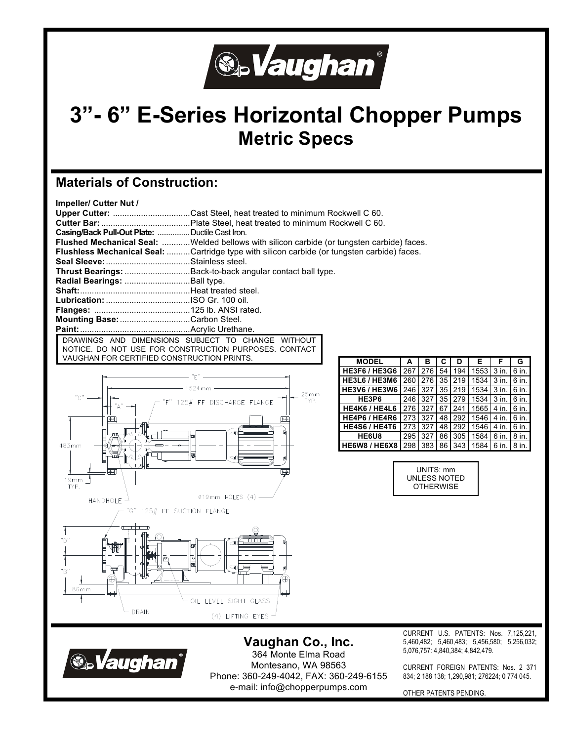

# **3"- 6" E-Series Horizontal Chopper Pumps Metric Specs**

## **Materials of Construction:**

| Impeller/ Cutter Nut /                          |                                                                                                    |
|-------------------------------------------------|----------------------------------------------------------------------------------------------------|
|                                                 | Upper Cutter: Cast Steel, heat treated to minimum Rockwell C 60.                                   |
|                                                 |                                                                                                    |
| Casing/Back Pull-Out Plate:  Ductile Cast Iron. |                                                                                                    |
|                                                 | Flushed Mechanical Seal: Welded bellows with silicon carbide (or tungsten carbide) faces.          |
|                                                 | <b>Flushless Mechanical Seal:</b> Cartridge type with silicon carbide (or tungsten carbide) faces. |
|                                                 |                                                                                                    |
|                                                 | <b>Thrust Bearings:</b> Back-to-back angular contact ball type.                                    |
|                                                 |                                                                                                    |
|                                                 |                                                                                                    |
|                                                 |                                                                                                    |
|                                                 |                                                                                                    |
| Mounting Base: Carbon Steel.                    |                                                                                                    |
|                                                 |                                                                                                    |
|                                                 | DRAWINGS AND DIMENSIONS SUBJECT TO CHANGE WITHOUT                                                  |
|                                                 | NOTICE. DO NOT USE FOR CONSTRUCTION PURPOSES. CONTACT                                              |

VAUGHAN FOR CERTIFIED CONSTRUCTION PRINTS. **MODEL <sup>A</sup> <sup>B</sup> <sup>C</sup> <sup>D</sup> <sup>E</sup> <sup>F</sup> <sup>G</sup>**



| <b>MODEL</b>         | A   | в   | С  | D   | Е    | F     | G     |
|----------------------|-----|-----|----|-----|------|-------|-------|
| <b>HE3F6 / HE3G6</b> | 267 | 276 | 54 | 194 | 1553 | 3 in. | 6 in. |
| <b>HE3L6 / HE3M6</b> | 260 | 276 | 35 | 219 | 1534 | 3 in. | 6 in. |
| <b>HE3V6 / HE3W6</b> | 246 | 327 | 35 | 219 | 1534 | 3 in. | 6 in. |
| HE3P6                | 246 | 327 | 35 | 279 | 1534 | 3 in. | 6 in. |
| HE4K6 / HE4L6        | 276 | 327 | 67 | 241 | 1565 | 4 in. | 6 in. |
| HE4P6 / HE4R6        | 273 | 327 | 48 | 292 | 1546 | 4 in. | 6 in. |
| <b>HE4S6 / HE4T6</b> | 273 | 327 | 48 | 292 | 1546 | 4 in. | 6 in. |
| HE6U8                | 295 | 327 | 86 | 305 | 1584 | 6 in. | 8 in. |
| <b>HE6W8 / HE6X8</b> | 298 | 383 | 86 | 343 | 1584 | 6 in. | 8 in. |

UNITS: mm UNLESS NOTED **OTHERWISE** 

**®** Vaughan

DRAIN

**Vaughan Co., Inc.** 364 Monte Elma Road Montesano, WA 98563 Phone: 360-249-4042, FAX: 360-249-6155 e-mail: info@chopperpumps.com

(4) LIFTING EYES

CURRENT U.S. PATENTS: Nos. 7,125,221, 5,460,482; 5,460,483; 5,456,580; 5,256,032; 5,076,757: 4,840,384; 4,842,479.

CURRENT FOREIGN PATENTS: Nos. 2 371 834; 2 188 138; 1,290,981; 276224; 0 774 045.

OTHER PATENTS PENDING.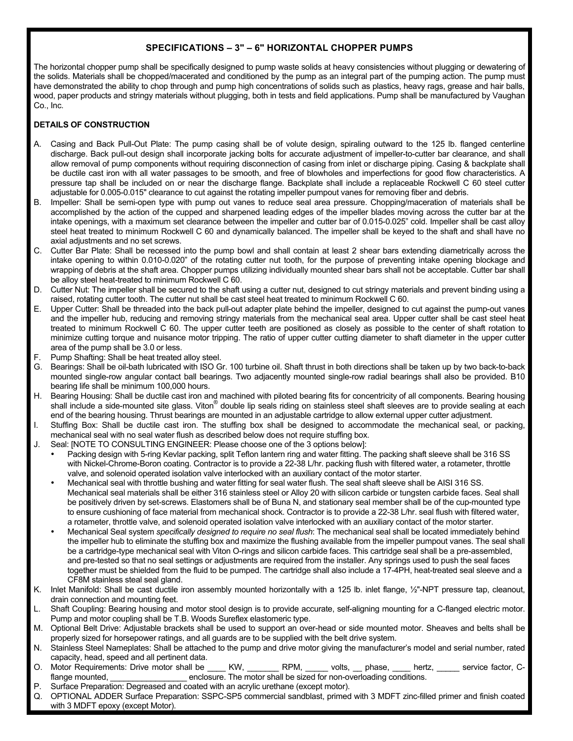### **SPECIFICATIONS – 3" – 6" HORIZONTAL CHOPPER PUMPS**

The horizontal chopper pump shall be specifically designed to pump waste solids at heavy consistencies without plugging or dewatering of the solids. Materials shall be chopped/macerated and conditioned by the pump as an integral part of the pumping action. The pump must have demonstrated the ability to chop through and pump high concentrations of solids such as plastics, heavy rags, grease and hair balls, wood, paper products and stringy materials without plugging, both in tests and field applications. Pump shall be manufactured by Vaughan Co., Inc.

### **DETAILS OF CONSTRUCTION**

- A. Casing and Back Pull-Out Plate: The pump casing shall be of volute design, spiraling outward to the 125 lb. flanged centerline discharge. Back pull-out design shall incorporate jacking bolts for accurate adjustment of impeller-to-cutter bar clearance, and shall allow removal of pump components without requiring disconnection of casing from inlet or discharge piping. Casing & backplate shall be ductile cast iron with all water passages to be smooth, and free of blowholes and imperfections for good flow characteristics. A pressure tap shall be included on or near the discharge flange. Backplate shall include a replaceable Rockwell C 60 steel cutter adjustable for 0.005-0.015" clearance to cut against the rotating impeller pumpout vanes for removing fiber and debris.
- B. Impeller: Shall be semi-open type with pump out vanes to reduce seal area pressure. Chopping/maceration of materials shall be accomplished by the action of the cupped and sharpened leading edges of the impeller blades moving across the cutter bar at the intake openings, with a maximum set clearance between the impeller and cutter bar of 0.015-0.025" cold. Impeller shall be cast alloy steel heat treated to minimum Rockwell C 60 and dynamically balanced. The impeller shall be keyed to the shaft and shall have no axial adjustments and no set screws.
- C. Cutter Bar Plate: Shall be recessed into the pump bowl and shall contain at least 2 shear bars extending diametrically across the intake opening to within 0.010-0.020" of the rotating cutter nut tooth, for the purpose of preventing intake opening blockage and wrapping of debris at the shaft area. Chopper pumps utilizing individually mounted shear bars shall not be acceptable. Cutter bar shall be alloy steel heat-treated to minimum Rockwell C 60.
- D. Cutter Nut: The impeller shall be secured to the shaft using a cutter nut, designed to cut stringy materials and prevent binding using a raised, rotating cutter tooth. The cutter nut shall be cast steel heat treated to minimum Rockwell C 60.
- E. Upper Cutter: Shall be threaded into the back pull-out adapter plate behind the impeller, designed to cut against the pump-out vanes and the impeller hub, reducing and removing stringy materials from the mechanical seal area. Upper cutter shall be cast steel heat treated to minimum Rockwell C 60. The upper cutter teeth are positioned as closely as possible to the center of shaft rotation to minimize cutting torque and nuisance motor tripping. The ratio of upper cutter cutting diameter to shaft diameter in the upper cutter area of the pump shall be 3.0 or less.
- Pump Shafting: Shall be heat treated alloy steel.
- G. Bearings: Shall be oil-bath lubricated with ISO Gr. 100 turbine oil. Shaft thrust in both directions shall be taken up by two back-to-back mounted single-row angular contact ball bearings. Two adjacently mounted single-row radial bearings shall also be provided. B10 bearing life shall be minimum 100,000 hours.
- H. Bearing Housing: Shall be ductile cast iron and machined with piloted bearing fits for concentricity of all components. Bearing housing shall include a side-mounted site glass. Viton® double lip seals riding on stainless steel shaft sleeves are to provide sealing at each end of the bearing housing. Thrust bearings are mounted in an adjustable cartridge to allow external upper cutter adjustment.
- I. Stuffing Box: Shall be ductile cast iron. The stuffing box shall be designed to accommodate the mechanical seal, or packing, mechanical seal with no seal water flush as described below does not require stuffing box.
- J. Seal: [NOTE TO CONSULTING ENGINEER: Please choose one of the 3 options below]:
	- Packing design with 5-ring Kevlar packing, split Teflon lantern ring and water fitting. The packing shaft sleeve shall be 316 SS with Nickel-Chrome-Boron coating. Contractor is to provide a 22-38 L/hr. packing flush with filtered water, a rotameter, throttle valve, and solenoid operated isolation valve interlocked with an auxiliary contact of the motor starter.
	- Mechanical seal with throttle bushing and water fitting for seal water flush. The seal shaft sleeve shall be AISI 316 SS. Mechanical seal materials shall be either 316 stainless steel or Alloy 20 with silicon carbide or tungsten carbide faces. Seal shall be positively driven by set-screws. Elastomers shall be of Buna N, and stationary seal member shall be of the cup-mounted type to ensure cushioning of face material from mechanical shock. Contractor is to provide a 22-38 L/hr. seal flush with filtered water, a rotameter, throttle valve, and solenoid operated isolation valve interlocked with an auxiliary contact of the motor starter.
	- Mechanical Seal system *specifically designed to require no seal flush*: The mechanical seal shall be located immediately behind the impeller hub to eliminate the stuffing box and maximize the flushing available from the impeller pumpout vanes. The seal shall be a cartridge-type mechanical seal with Viton O-rings and silicon carbide faces. This cartridge seal shall be a pre-assembled, and pre-tested so that no seal settings or adjustments are required from the installer. Any springs used to push the seal faces together must be shielded from the fluid to be pumped. The cartridge shall also include a 17-4PH, heat-treated seal sleeve and a CF8M stainless steal seal gland.
- K. Inlet Manifold: Shall be cast ductile iron assembly mounted horizontally with a 125 lb. inlet flange, ½"-NPT pressure tap, cleanout, drain connection and mounting feet.
- L. Shaft Coupling: Bearing housing and motor stool design is to provide accurate, self-aligning mounting for a C-flanged electric motor. Pump and motor coupling shall be T.B. Woods Sureflex elastomeric type.
- M. Optional Belt Drive: Adjustable brackets shall be used to support an over-head or side mounted motor. Sheaves and belts shall be properly sized for horsepower ratings, and all guards are to be supplied with the belt drive system.
- N. Stainless Steel Nameplates: Shall be attached to the pump and drive motor giving the manufacturer's model and serial number, rated capacity, head, speed and all pertinent data.
- O. Motor Requirements: Drive motor shall be \_\_\_\_ KW, \_\_\_\_\_\_\_ RPM, \_\_\_\_\_ volts, \_\_ phase, \_\_\_\_ hertz, \_\_\_\_\_ service factor, Cflange mounted. The motor shall be sized for non-overloading conditions.
- P. Surface Preparation: Degreased and coated with an acrylic urethane (except motor).
- Q. OPTIONAL ADDER Surface Preparation: SSPC-SP5 commercial sandblast, primed with 3 MDFT zinc-filled primer and finish coated with 3 MDFT epoxy (except Motor).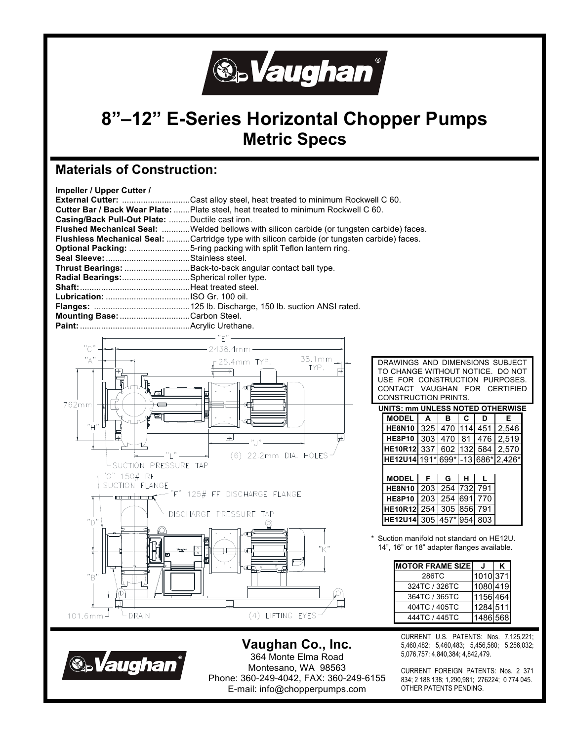

## **8"–12" E-Series Horizontal Chopper Pumps Metric Specs**

### **Materials of Construction:**

| Impeller / Upper Cutter /                      |                                                                                                    |
|------------------------------------------------|----------------------------------------------------------------------------------------------------|
|                                                | <b>External Cutter:</b> Cast alloy steel, heat treated to minimum Rockwell C 60.                   |
|                                                | <b>Cutter Bar / Back Wear Plate:</b> Plate steel, heat treated to minimum Rockwell C 60.           |
| Casing/Back Pull-Out Plate: Ductile cast iron. |                                                                                                    |
|                                                | <b>Flushed Mechanical Seal:</b> Welded bellows with silicon carbide (or tungsten carbide) faces.   |
|                                                | <b>Flushless Mechanical Seal:</b> Cartridge type with silicon carbide (or tungsten carbide) faces. |
|                                                |                                                                                                    |
|                                                |                                                                                                    |
|                                                | Thrust Bearings: Back-to-back angular contact ball type.                                           |
| Radial Bearings:Spherical roller type.         |                                                                                                    |
|                                                |                                                                                                    |
|                                                |                                                                                                    |
|                                                |                                                                                                    |
| Mounting Base: Carbon Steel.                   |                                                                                                    |
|                                                |                                                                                                    |



DRAWINGS AND DIMENSIONS SUBJECT TO CHANGE WITHOUT NOTICE. DO NOT USE FOR CONSTRUCTION PURPOSES. CONTACT VAUGHAN FOR CERTIFIED CONSTRUCTION PRINTS.

| UNITS: mm UNLESS NOTED OTHERWISE  |     |     |     |     |       |  |  |
|-----------------------------------|-----|-----|-----|-----|-------|--|--|
| <b>MODEL</b>                      | A   | в   | С   | D   | Е     |  |  |
| <b>HE8N10</b>                     | 325 | 470 | 114 | 451 | 2,546 |  |  |
| <b>HE8P10</b>                     | 303 | 470 | 81  | 476 | 2,519 |  |  |
| <b>HE10R12</b>                    | 337 | 602 | 132 | 584 | 2,570 |  |  |
| HE12U14 191* 699* -13 686* 2,426* |     |     |     |     |       |  |  |
|                                   |     |     |     |     |       |  |  |
|                                   |     |     |     |     |       |  |  |
| <b>MODEL</b>                      | F   | G   | н   |     |       |  |  |
| <b>HE8N10</b>                     | 203 | 254 | 732 | 791 |       |  |  |
| <b>HE8P10</b>                     | 203 | 254 | 691 | 770 |       |  |  |
| <b>HE10R12</b>                    | 254 | 305 | 856 | 791 |       |  |  |

Suction manifold not standard on HE12U. 14", 16" or 18" adapter flanges available.

| <b>MOTOR FRAME SIZE</b> |          |  |
|-------------------------|----------|--|
| 286TC                   | 1010 371 |  |
| 324TC / 326TC           | 1080 419 |  |
| 364TC / 365TC           | 1156 464 |  |
| 404TC / 405TC           | 1284 511 |  |
| 444TC / 445TC           | 1486 568 |  |

CURRENT U.S. PATENTS: Nos. 7,125,221; 5,460,482; 5,460,483; 5,456,580; 5,256,032; 5,076,757: 4,840,384; 4,842,479.

CURRENT FOREIGN PATENTS: Nos. 2 371 834; 2 188 138; 1,290,981; 276224; 0 774 045. OTHER PATENTS PENDING.



**Vaughan Co., Inc.**  364 Monte Elma Road Montesano, WA 98563 Phone: 360-249-4042, FAX: 360-249-6155 E-mail: info@chopperpumps.com